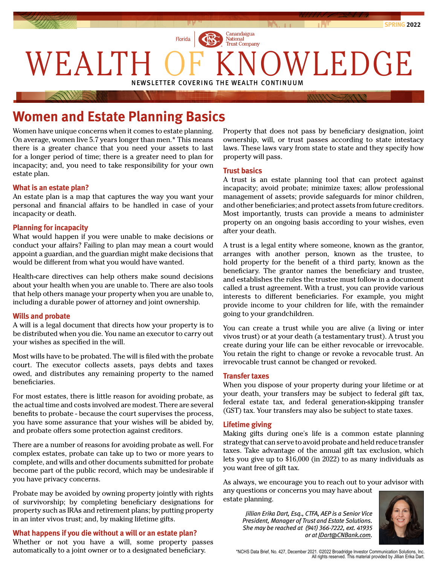

# **Women and Estate Planning Basics**

Women have unique concerns when it comes to estate planning. On average, women live 5.7 years longer than men.\* This means there is a greater chance that you need your assets to last for a longer period of time; there is a greater need to plan for incapacity; and, you need to take responsibility for your own estate plan.

### **What is an estate plan?**

An estate plan is a map that captures the way you want your personal and financial affairs to be handled in case of your incapacity or death.

### **Planning for incapacity**

What would happen if you were unable to make decisions or conduct your affairs? Failing to plan may mean a court would appoint a guardian, and the guardian might make decisions that would be different from what you would have wanted.

Health-care directives can help others make sound decisions about your health when you are unable to. There are also tools that help others manage your property when you are unable to, including a durable power of attorney and joint ownership.

### **Wills and probate**

A will is a legal document that directs how your property is to be distributed when you die. You name an executor to carry out your wishes as specified in the will.

Most wills have to be probated. The will is filed with the probate court. The executor collects assets, pays debts and taxes owed, and distributes any remaining property to the named beneficiaries.

For most estates, there is little reason for avoiding probate, as the actual time and costs involved are modest. There are several benefits to probate - because the court supervises the process, you have some assurance that your wishes will be abided by, and probate offers some protection against creditors.

There are a number of reasons for avoiding probate as well. For complex estates, probate can take up to two or more years to complete, and wills and other documents submitted for probate become part of the public record, which may be undesirable if you have privacy concerns.

Probate may be avoided by owning property jointly with rights of survivorship; by completing beneficiary designations for property such as IRAs and retirement plans; by putting property in an inter vivos trust; and, by making lifetime gifts.

### **What happens if you die without a will or an estate plan?**

Whether or not you have a will, some property passes automatically to a joint owner or to a designated beneficiary.

Property that does not pass by beneficiary designation, joint ownership, will, or trust passes according to state intestacy laws. These laws vary from state to state and they specify how property will pass.

### **Trust basics**

A trust is an estate planning tool that can protect against incapacity; avoid probate; minimize taxes; allow professional management of assets; provide safeguards for minor children, and other beneficiaries; and protect assets from future creditors. Most importantly, trusts can provide a means to administer property on an ongoing basis according to your wishes, even after your death.

A trust is a legal entity where someone, known as the grantor, arranges with another person, known as the trustee, to hold property for the benefit of a third party, known as the beneficiary. The grantor names the beneficiary and trustee, and establishes the rules the trustee must follow in a document called a trust agreement. With a trust, you can provide various interests to different beneficiaries. For example, you might provide income to your children for life, with the remainder going to your grandchildren.

You can create a trust while you are alive (a living or inter vivos trust) or at your death (a testamentary trust). A trust you create during your life can be either revocable or irrevocable. You retain the right to change or revoke a revocable trust. An irrevocable trust cannot be changed or revoked.

### **Transfer taxes**

When you dispose of your property during your lifetime or at your death, your transfers may be subject to federal gift tax, federal estate tax, and federal generation-skipping transfer (GST) tax. Your transfers may also be subject to state taxes.

### **Lifetime giving**

Making gifts during one's life is a common estate planning strategy that can serve to avoid probate and held reduce transfer taxes. Take advantage of the annual gift tax exclusion, which lets you give up to \$16,000 (in 2022) to as many individuals as you want free of gift tax.

As always, we encourage you to reach out to your advisor with any questions or concerns you may have about estate planning.

*Jillian Erika Dart, Esq., CTFA, AEP is a Senior Vice President, Manager of Trust and Estate Solutions. She may be reached at (941) 366-7222, ext. 41935 or at [JDart@CNBank.com](mailto:JDart%40CNBank.com?subject=)[.](mailto:DCator%40CNBank.com?subject=)*